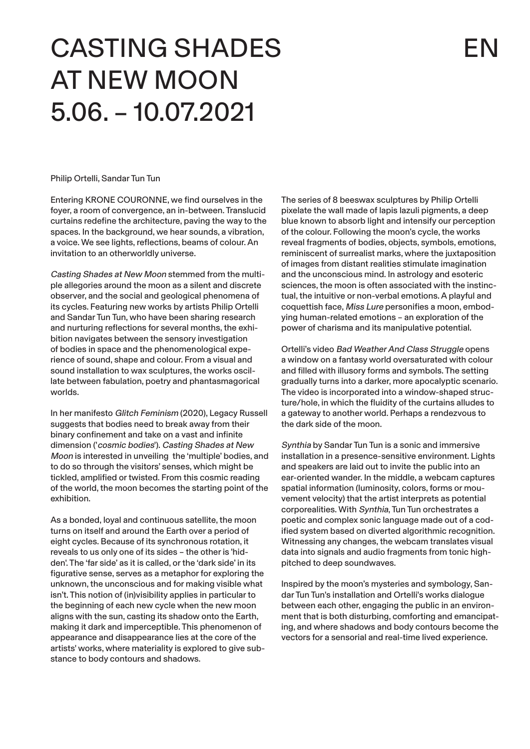# CASTING SHADES AT NEW MOON 5.06. – 10.07.2021

Philip Ortelli, Sandar Tun Tun

Entering KRONE COURONNE, we find ourselves in the foyer, a room of convergence, an in-between. Translucid curtains redefine the architecture, paving the way to the spaces. In the background, we hear sounds, a vibration, a voice. We see lights, reflections, beams of colour. An invitation to an otherworldly universe.

Casting Shades at New Moon stemmed from the multiple allegories around the moon as a silent and discrete observer, and the social and geological phenomena of its cycles. Featuring new works by artists Philip Ortelli and Sandar Tun Tun, who have been sharing research and nurturing reflections for several months, the exhibition navigates between the sensory investigation of bodies in space and the phenomenological experience of sound, shape and colour. From a visual and sound installation to wax sculptures, the works oscillate between fabulation, poetry and phantasmagorical worlds.

In her manifesto Glitch Feminism (2020), Legacy Russell suggests that bodies need to break away from their binary confinement and take on a vast and infinite dimension ('cosmic bodies'). Casting Shades at New Moon is interested in unveiling the 'multiple' bodies, and to do so through the visitors' senses, which might be tickled, amplified or twisted. From this cosmic reading of the world, the moon becomes the starting point of the exhibition.

As a bonded, loyal and continuous satellite, the moon turns on itself and around the Earth over a period of eight cycles. Because of its synchronous rotation, it reveals to us only one of its sides – the other is 'hidden'. The 'far side' as it is called, or the 'dark side' in its figurative sense, serves as a metaphor for exploring the unknown, the unconscious and for making visible what isn't. This notion of (in)visibility applies in particular to the beginning of each new cycle when the new moon aligns with the sun, casting its shadow onto the Earth, making it dark and imperceptible. This phenomenon of appearance and disappearance lies at the core of the artists' works, where materiality is explored to give substance to body contours and shadows.

The series of 8 beeswax sculptures by Philip Ortelli pixelate the wall made of lapis lazuli pigments, a deep blue known to absorb light and intensify our perception of the colour. Following the moon's cycle, the works reveal fragments of bodies, objects, symbols, emotions, reminiscent of surrealist marks, where the juxtaposition of images from distant realities stimulate imagination and the unconscious mind. In astrology and esoteric sciences, the moon is often associated with the instinctual, the intuitive or non-verbal emotions. A playful and coquettish face, Miss Lure personifies a moon, embodying human-related emotions – an exploration of the power of charisma and its manipulative potential.

Ortelli's video Bad Weather And Class Struggle opens a window on a fantasy world oversaturated with colour and filled with illusory forms and symbols. The setting gradually turns into a darker, more apocalyptic scenario. The video is incorporated into a window-shaped structure/hole, in which the fluidity of the curtains alludes to a gateway to another world. Perhaps a rendezvous to the dark side of the moon.

Synthia by Sandar Tun Tun is a sonic and immersive installation in a presence-sensitive environment. Lights and speakers are laid out to invite the public into an ear-oriented wander. In the middle, a webcam captures spatial information (luminosity, colors, forms or mouvement velocity) that the artist interprets as potential corporealities. With Synthia, Tun Tun orchestrates a poetic and complex sonic language made out of a codified system based on diverted algorithmic recognition. Witnessing any changes, the webcam translates visual data into signals and audio fragments from tonic highpitched to deep soundwaves.

Inspired by the moon's mysteries and symbology, Sandar Tun Tun's installation and Ortelli's works dialogue between each other, engaging the public in an environment that is both disturbing, comforting and emancipating, and where shadows and body contours become the vectors for a sensorial and real-time lived experience.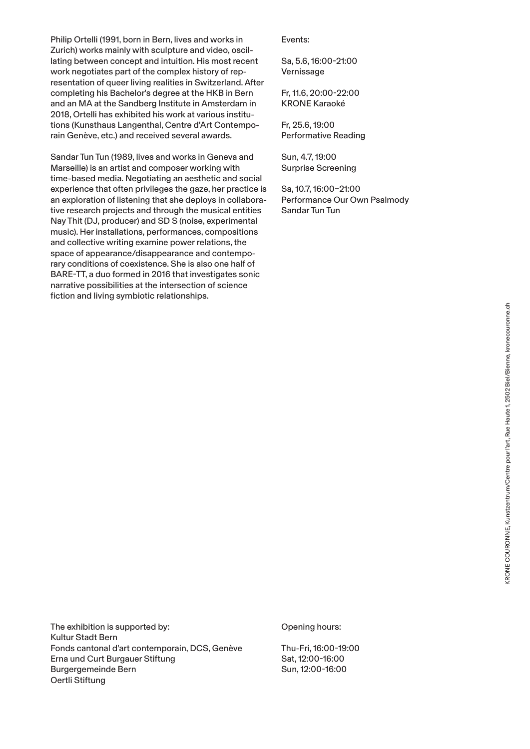Philip Ortelli (1991, born in Bern, lives and works in Zurich) works mainly with sculpture and video, oscillating between concept and intuition. His most recent work negotiates part of the complex history of representation of queer living realities in Switzerland. After completing his Bachelor's degree at the HKB in Bern and an MA at the Sandberg Institute in Amsterdam in 2018, Ortelli has exhibited his work at various institutions (Kunsthaus Langenthal, Centre d'Art Contemporain Genève, etc.) and received several awards.

Sandar Tun Tun (1989, lives and works in Geneva and Marseille) is an artist and composer working with time-based media. Negotiating an aesthetic and social experience that often privileges the gaze, her practice is an exploration of listening that she deploys in collaborative research projects and through the musical entities Nay Thit (DJ, producer) and SD S (noise, experimental music). Her installations, performances, compositions and collective writing examine power relations, the space of appearance/disappearance and contemporary conditions of coexistence. She is also one half of BARE-TT, a duo formed in 2016 that investigates sonic narrative possibilities at the intersection of science fiction and living symbiotic relationships.

Events:

Sa, 5.6, 16:00-21:00 Vernissage

Fr, 11.6, 20:00-22:00 KRONE Karaoké

Fr, 25.6, 19:00 Performative Reading

Sun, 4.7, 19:00 Surprise Screening

Sa, 10.7, 16:00–21:00 Performance Our Own Psalmody Sandar Tun Tun

The exhibition is supported by: Kultur Stadt Bern Fonds cantonal d'art contemporain, DCS, Genève Erna und Curt Burgauer Stiftung Burgergemeinde Bern Oertli Stiftung

Opening hours:

Thu-Fri, 16:00-19:00 Sat, 12:00-16:00 Sun, 12:00-16:00